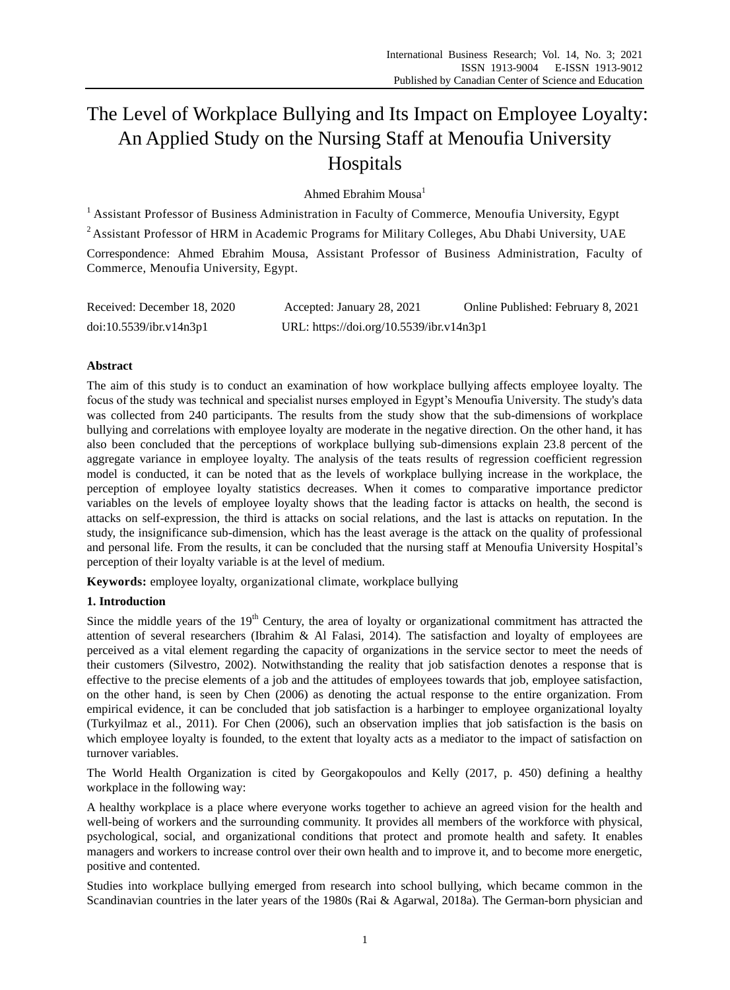# The Level of Workplace Bullying and Its Impact on Employee Loyalty: An Applied Study on the Nursing Staff at Menoufia University Hospitals

[Ahmed Ebrahim](https://www-emeraldinsight-com.adu-lib-database.idm.oclc.org/author/Kianto%2C+Aino) Mousa<sup>1</sup>

<sup>1</sup> Assistant Professor of Business Administration in Faculty of Commerce, Menoufia University, Egypt

<sup>2</sup> Assistant Professor of HRM in Academic Programs for Military Colleges, Abu Dhabi University, UAE

Correspondence: [Ahmed Ebrahim](https://www-emeraldinsight-com.adu-lib-database.idm.oclc.org/author/Kianto%2C+Aino) Mousa, Assistant Professor of Business Administration, Faculty of Commerce, Menoufia University, Egypt.

| Received: December 18, 2020 | Accepted: January 28, 2021               | Online Published: February 8, 2021 |
|-----------------------------|------------------------------------------|------------------------------------|
| doi:10.5539/ibr.v14n3p1     | URL: https://doi.org/10.5539/ibr.v14n3p1 |                                    |

# **Abstract**

The aim of this study is to conduct an examination of how workplace bullying affects employee loyalty. The focus of the study was technical and specialist nurses employed in Egypt's Menoufia University. The study's data was collected from 240 participants. The results from the study show that the sub-dimensions of workplace bullying and correlations with employee loyalty are moderate in the negative direction. On the other hand, it has also been concluded that the perceptions of workplace bullying sub-dimensions explain 23.8 percent of the aggregate variance in employee loyalty. The analysis of the teats results of regression coefficient regression model is conducted, it can be noted that as the levels of workplace bullying increase in the workplace, the perception of employee loyalty statistics decreases. When it comes to comparative importance predictor variables on the levels of employee loyalty shows that the leading factor is attacks on health, the second is attacks on self-expression, the third is attacks on social relations, and the last is attacks on reputation. In the study, the insignificance sub-dimension, which has the least average is the attack on the quality of professional and personal life. From the results, it can be concluded that the nursing staff at Menoufia University Hospital's perception of their loyalty variable is at the level of medium.

**Keywords:** employee loyalty, organizational climate, workplace bullying

# **1. Introduction**

Since the middle years of the  $19<sup>th</sup>$  Century, the area of loyalty or organizational commitment has attracted the attention of several researchers (Ibrahim & Al Falasi, 2014). The satisfaction and loyalty of employees are perceived as a vital element regarding the capacity of organizations in the service sector to meet the needs of their customers (Silvestro, 2002). Notwithstanding the reality that job satisfaction denotes a response that is effective to the precise elements of a job and the attitudes of employees towards that job, employee satisfaction, on the other hand, is seen by Chen (2006) as denoting the actual response to the entire organization. From empirical evidence, it can be concluded that job satisfaction is a harbinger to employee organizational loyalty (Turkyilmaz et al., 2011). For Chen (2006), such an observation implies that job satisfaction is the basis on which employee loyalty is founded, to the extent that loyalty acts as a mediator to the impact of satisfaction on turnover variables.

The World Health Organization is cited by Georgakopoulos and Kelly (2017, p. 450) defining a healthy workplace in the following way:

A healthy workplace is a place where everyone works together to achieve an agreed vision for the health and well-being of workers and the surrounding community. It provides all members of the workforce with physical, psychological, social, and organizational conditions that protect and promote health and safety. It enables managers and workers to increase control over their own health and to improve it, and to become more energetic, positive and contented.

Studies into workplace bullying emerged from research into school bullying, which became common in the Scandinavian countries in the later years of the 1980s (Rai & Agarwal, 2018a). The German-born physician and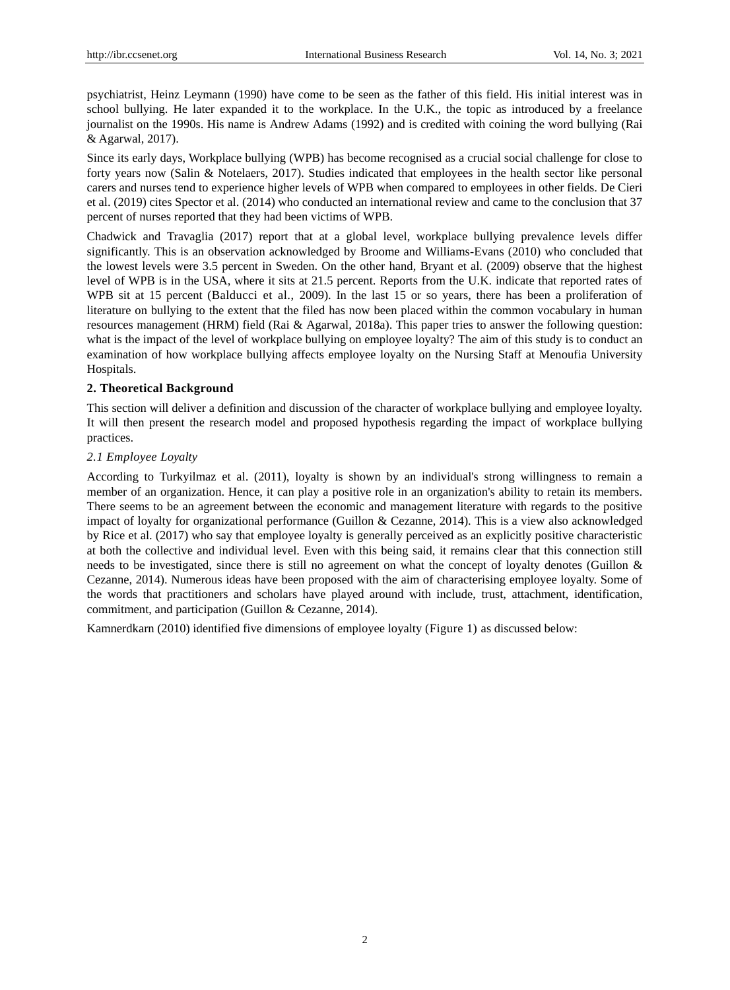psychiatrist, Heinz Leymann (1990) have come to be seen as the father of this field. His initial interest was in school bullying. He later expanded it to the workplace. In the U.K., the topic as introduced by a freelance journalist on the 1990s. His name is Andrew Adams (1992) and is credited with coining the word bullying (Rai & Agarwal, 2017).

Since its early days, Workplace bullying (WPB) has become recognised as a crucial social challenge for close to forty years now (Salin & Notelaers, 2017). Studies indicated that employees in the health sector like personal carers and nurses tend to experience higher levels of WPB when compared to employees in other fields. De Cieri et al. (2019) cites Spector et al. (2014) who conducted an international review and came to the conclusion that 37 percent of nurses reported that they had been victims of WPB.

Chadwick and Travaglia (2017) report that at a global level, workplace bullying prevalence levels differ significantly. This is an observation acknowledged by Broome and Williams-Evans (2010) who concluded that the lowest levels were 3.5 percent in Sweden. On the other hand, Bryant et al. (2009) observe that the highest level of WPB is in the USA, where it sits at 21.5 percent. Reports from the U.K. indicate that reported rates of WPB sit at 15 percent (Balducci et al., 2009). In the last 15 or so years, there has been a proliferation of literature on bullying to the extent that the filed has now been placed within the common vocabulary in human resources management (HRM) field (Rai & Agarwal, 2018a). This paper tries to answer the following question: what is the impact of the level of workplace bullying on employee loyalty? The aim of this study is to conduct an examination of how workplace bullying affects employee loyalty on the Nursing Staff at Menoufia University Hospitals.

# **2. Theoretical Background**

This section will deliver a definition and discussion of the character of workplace bullying and employee loyalty. It will then present the research model and proposed hypothesis regarding the impact of workplace bullying practices.

# *2.1 Employee Loyalty*

According to Turkyilmaz et al. (2011), loyalty is shown by an individual's strong willingness to remain a member of an organization. Hence, it can play a positive role in an organization's ability to retain its members. There seems to be an agreement between the economic and management literature with regards to the positive impact of loyalty for organizational performance (Guillon & Cezanne, 2014). This is a view also acknowledged by Rice et al. (2017) who say that employee loyalty is generally perceived as an explicitly positive characteristic at both the collective and individual level. Even with this being said, it remains clear that this connection still needs to be investigated, since there is still no agreement on what the concept of loyalty denotes (Guillon & Cezanne, 2014). Numerous ideas have been proposed with the aim of characterising employee loyalty. Some of the words that practitioners and scholars have played around with include, trust, attachment, identification, commitment, and participation (Guillon & Cezanne, 2014).

Kamnerdkarn (2010) identified five dimensions of employee loyalty (Figure 1) as discussed below: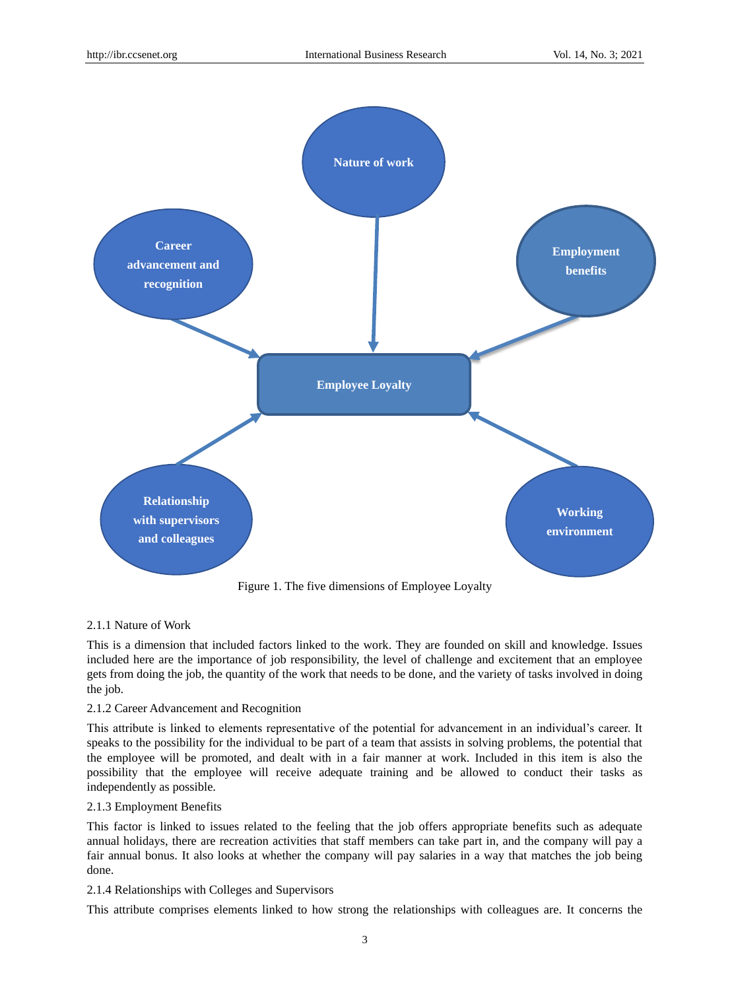

## 2.1.1 Nature of Work

This is a dimension that included factors linked to the work. They are founded on skill and knowledge. Issues included here are the importance of job responsibility, the level of challenge and excitement that an employee gets from doing the job, the quantity of the work that needs to be done, and the variety of tasks involved in doing the job.

## 2.1.2 Career Advancement and Recognition

This attribute is linked to elements representative of the potential for advancement in an individual's career. It speaks to the possibility for the individual to be part of a team that assists in solving problems, the potential that the employee will be promoted, and dealt with in a fair manner at work. Included in this item is also the possibility that the employee will receive adequate training and be allowed to conduct their tasks as independently as possible.

## 2.1.3 Employment Benefits

This factor is linked to issues related to the feeling that the job offers appropriate benefits such as adequate annual holidays, there are recreation activities that staff members can take part in, and the company will pay a fair annual bonus. It also looks at whether the company will pay salaries in a way that matches the job being done.

# 2.1.4 Relationships with Colleges and Supervisors

This attribute comprises elements linked to how strong the relationships with colleagues are. It concerns the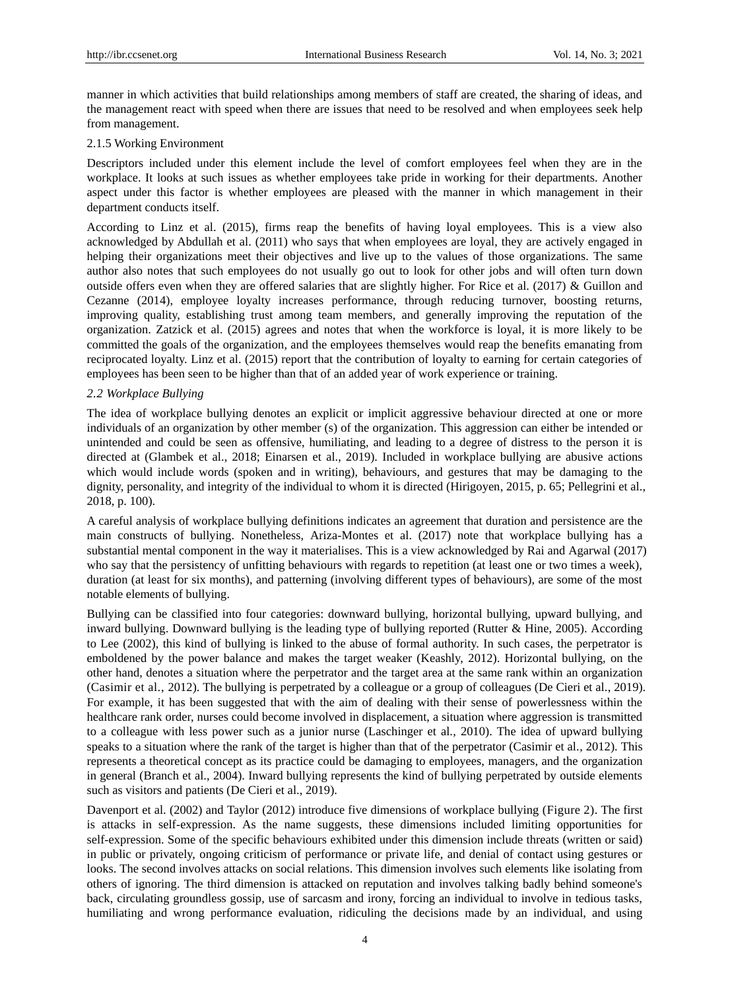manner in which activities that build relationships among members of staff are created, the sharing of ideas, and the management react with speed when there are issues that need to be resolved and when employees seek help from management.

## 2.1.5 Working Environment

Descriptors included under this element include the level of comfort employees feel when they are in the workplace. It looks at such issues as whether employees take pride in working for their departments. Another aspect under this factor is whether employees are pleased with the manner in which management in their department conducts itself.

According to Linz et al. (2015), firms reap the benefits of having loyal employees. This is a view also acknowledged by Abdullah et al. (2011) who says that when employees are loyal, they are actively engaged in helping their organizations meet their objectives and live up to the values of those organizations. The same author also notes that such employees do not usually go out to look for other jobs and will often turn down outside offers even when they are offered salaries that are slightly higher. For Rice et al. (2017) & Guillon and Cezanne (2014), employee loyalty increases performance, through reducing turnover, boosting returns, improving quality, establishing trust among team members, and generally improving the reputation of the organization. Zatzick et al. (2015) agrees and notes that when the workforce is loyal, it is more likely to be committed the goals of the organization, and the employees themselves would reap the benefits emanating from reciprocated loyalty. Linz et al. (2015) report that the contribution of loyalty to earning for certain categories of employees has been seen to be higher than that of an added year of work experience or training.

## *2.2 Workplace Bullying*

The idea of workplace bullying denotes an explicit or implicit aggressive behaviour directed at one or more individuals of an organization by other member (s) of the organization. This aggression can either be intended or unintended and could be seen as offensive, humiliating, and leading to a degree of distress to the person it is directed at (Glambek et al., 2018; Einarsen et al., 2019). Included in workplace bullying are abusive actions which would include words (spoken and in writing), behaviours, and gestures that may be damaging to the dignity, personality, and integrity of the individual to whom it is directed (Hirigoyen, 2015, p. 65; Pellegrini et al., 2018, p. 100).

A careful analysis of workplace bullying definitions indicates an agreement that duration and persistence are the main constructs of bullying. Nonetheless, Ariza-Montes et al. (2017) note that workplace bullying has a substantial mental component in the way it materialises. This is a view acknowledged by Rai and Agarwal (2017) who say that the persistency of unfitting behaviours with regards to repetition (at least one or two times a week), duration (at least for six months), and patterning (involving different types of behaviours), are some of the most notable elements of bullying.

Bullying can be classified into four categories: downward bullying, horizontal bullying, upward bullying, and inward bullying. Downward bullying is the leading type of bullying reported (Rutter & Hine, 2005). According to Lee (2002), this kind of bullying is linked to the abuse of formal authority. In such cases, the perpetrator is emboldened by the power balance and makes the target weaker (Keashly, 2012). Horizontal bullying, on the other hand, denotes a situation where the perpetrator and the target area at the same rank within an organization (Casimir et al., 2012). The bullying is perpetrated by a colleague or a group of colleagues (De Cieri et al., 2019). For example, it has been suggested that with the aim of dealing with their sense of powerlessness within the healthcare rank order, nurses could become involved in displacement, a situation where aggression is transmitted to a colleague with less power such as a junior nurse (Laschinger et al., 2010). The idea of upward bullying speaks to a situation where the rank of the target is higher than that of the perpetrator (Casimir et al., 2012). This represents a theoretical concept as its practice could be damaging to employees, managers, and the organization in general (Branch et al., 2004). Inward bullying represents the kind of bullying perpetrated by outside elements such as visitors and patients (De Cieri et al., 2019).

Davenport et al. (2002) and Taylor (2012) introduce five dimensions of workplace bullying (Figure 2). The first is attacks in self-expression. As the name suggests, these dimensions included limiting opportunities for self-expression. Some of the specific behaviours exhibited under this dimension include threats (written or said) in public or privately, ongoing criticism of performance or private life, and denial of contact using gestures or looks. The second involves attacks on social relations. This dimension involves such elements like isolating from others of ignoring. The third dimension is attacked on reputation and involves talking badly behind someone's back, circulating groundless gossip, use of sarcasm and irony, forcing an individual to involve in tedious tasks, humiliating and wrong performance evaluation, ridiculing the decisions made by an individual, and using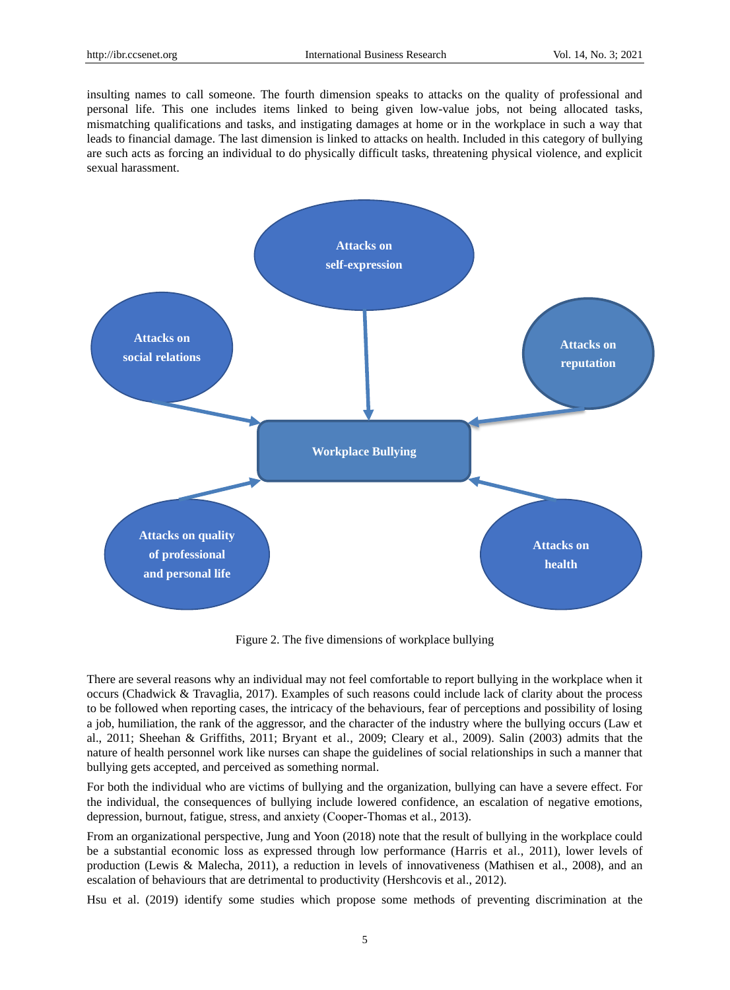insulting names to call someone. The fourth dimension speaks to attacks on the quality of professional and personal life. This one includes items linked to being given low-value jobs, not being allocated tasks, mismatching qualifications and tasks, and instigating damages at home or in the workplace in such a way that leads to financial damage. The last dimension is linked to attacks on health. Included in this category of bullying are such acts as forcing an individual to do physically difficult tasks, threatening physical violence, and explicit sexual harassment.



Figure 2. The five dimensions of workplace bullying

There are several reasons why an individual may not feel comfortable to report bullying in the workplace when it occurs (Chadwick & Travaglia, 2017). Examples of such reasons could include lack of clarity about the process to be followed when reporting cases, the intricacy of the behaviours, fear of perceptions and possibility of losing a job, humiliation, the rank of the aggressor, and the character of the industry where the bullying occurs (Law et al., 2011; Sheehan & Griffiths, 2011; Bryant et al., 2009; Cleary et al., 2009). Salin (2003) admits that the nature of health personnel work like nurses can shape the guidelines of social relationships in such a manner that bullying gets accepted, and perceived as something normal.

For both the individual who are victims of bullying and the organization, bullying can have a severe effect. For the individual, the consequences of bullying include lowered confidence, an escalation of negative emotions, depression, burnout, fatigue, stress, and anxiety (Cooper‐Thomas et al., 2013).

From an organizational perspective, Jung and Yoon (2018) note that the result of bullying in the workplace could be a substantial economic loss as expressed through low performance (Harris et al., 2011), lower levels of production (Lewis & Malecha, 2011), a reduction in levels of innovativeness (Mathisen et al., 2008), and an escalation of behaviours that are detrimental to productivity (Hershcovis et al., 2012).

Hsu et al. (2019) identify some studies which propose some methods of preventing discrimination at the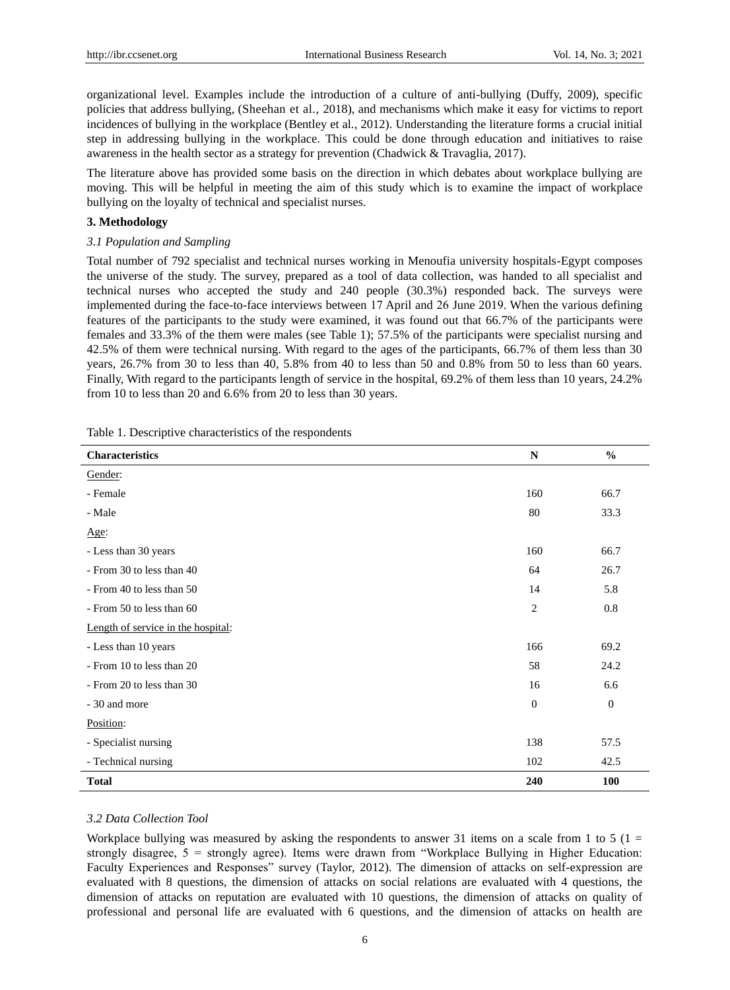organizational level. Examples include the introduction of a culture of anti-bullying (Duffy, 2009), specific policies that address bullying, (Sheehan et al., 2018), and mechanisms which make it easy for victims to report incidences of bullying in the workplace (Bentley et al., 2012). Understanding the literature forms a crucial initial step in addressing bullying in the workplace. This could be done through education and initiatives to raise awareness in the health sector as a strategy for prevention (Chadwick & Travaglia, 2017).

The literature above has provided some basis on the direction in which debates about workplace bullying are moving. This will be helpful in meeting the aim of this study which is to examine the impact of workplace bullying on the loyalty of technical and specialist nurses.

### **3. Methodology**

## *3.1 Population and Sampling*

Total number of 792 specialist and technical nurses working in Menoufia university hospitals-Egypt composes the universe of the study. The survey, prepared as a tool of data collection, was handed to all specialist and technical nurses who accepted the study and 240 people (30.3%) responded back. The surveys were implemented during the face-to-face interviews between 17 April and 26 June 2019. When the various defining features of the participants to the study were examined, it was found out that 66.7% of the participants were females and 33.3% of the them were males (see Table 1); 57.5% of the participants were specialist nursing and 42.5% of them were technical nursing. With regard to the ages of the participants, 66.7% of them less than 30 years, 26.7% from 30 to less than 40, 5.8% from 40 to less than 50 and 0.8% from 50 to less than 60 years. Finally, With regard to the participants length of service in the hospital, 69.2% of them less than 10 years, 24.2% from 10 to less than 20 and 6.6% from 20 to less than 30 years.

| <b>Characteristics</b>             | ${\bf N}$      | $\frac{0}{0}$  |
|------------------------------------|----------------|----------------|
| Gender:                            |                |                |
| - Female                           | 160            | 66.7           |
| - Male                             | 80             | 33.3           |
| Age:                               |                |                |
| - Less than 30 years               | 160            | 66.7           |
| - From 30 to less than 40          | 64             | 26.7           |
| - From 40 to less than 50          | 14             | 5.8            |
| - From 50 to less than 60          | $\overline{c}$ | 0.8            |
| Length of service in the hospital: |                |                |
| - Less than 10 years               | 166            | 69.2           |
| - From 10 to less than 20          | 58             | 24.2           |
| - From 20 to less than 30          | 16             | 6.6            |
| - 30 and more                      | $\theta$       | $\overline{0}$ |
| Position:                          |                |                |
| - Specialist nursing               | 138            | 57.5           |
| - Technical nursing                | 102            | 42.5           |
| <b>Total</b>                       | 240            | 100            |

Table 1. Descriptive characteristics of the respondents

## *3.2 Data Collection Tool*

Workplace bullying was measured by asking the respondents to answer 31 items on a scale from 1 to 5 ( $1 =$ strongly disagree, 5 = strongly agree). Items were drawn from "Workplace Bullying in Higher Education: Faculty Experiences and Responses" survey (Taylor, 2012). The dimension of attacks on self-expression are evaluated with 8 questions, the dimension of attacks on social relations are evaluated with 4 questions, the dimension of attacks on reputation are evaluated with 10 questions, the dimension of attacks on quality of professional and personal life are evaluated with 6 questions, and the dimension of attacks on health are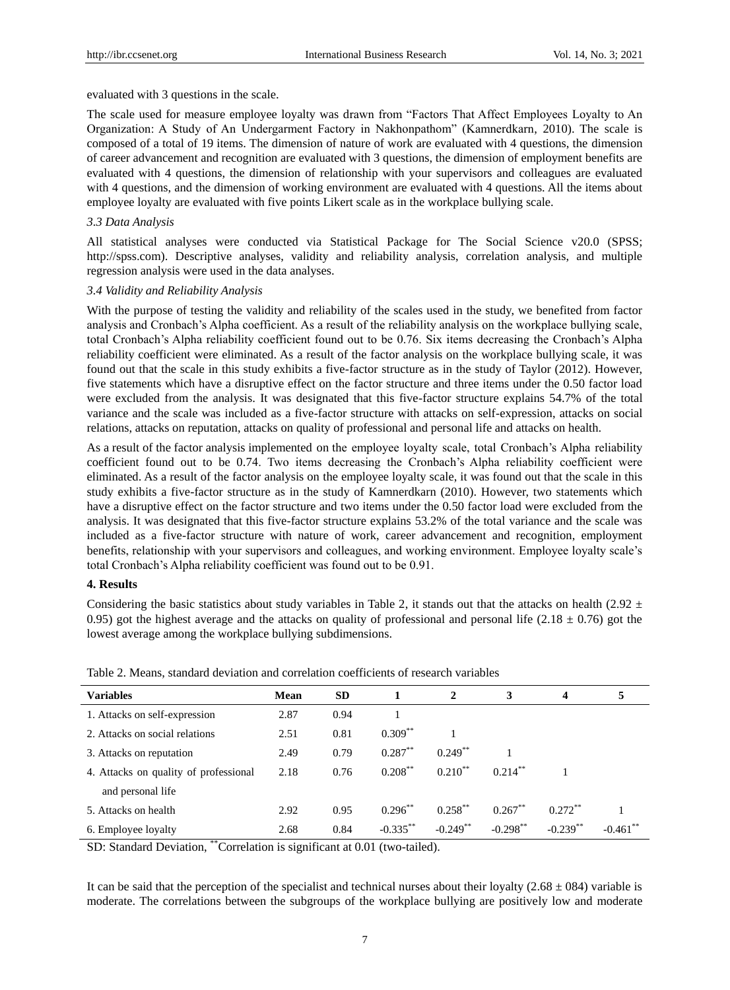evaluated with 3 questions in the scale.

The scale used for measure employee loyalty was drawn from "Factors That Affect Employees Loyalty to An Organization: A Study of An Undergarment Factory in Nakhonpathom" (Kamnerdkarn, 2010). The scale is composed of a total of 19 items. The dimension of nature of work are evaluated with 4 questions, the dimension of career advancement and recognition are evaluated with 3 questions, the dimension of employment benefits are evaluated with 4 questions, the dimension of relationship with your supervisors and colleagues are evaluated with 4 questions, and the dimension of working environment are evaluated with 4 questions. All the items about employee loyalty are evaluated with five points Likert scale as in the workplace bullying scale.

## *3.3 Data Analysis*

All statistical analyses were conducted via Statistical Package for The Social Science v20.0 (SPSS; http://spss.com). Descriptive analyses, validity and reliability analysis, correlation analysis, and multiple regression analysis were used in the data analyses.

## *3.4 Validity and Reliability Analysis*

With the purpose of testing the validity and reliability of the scales used in the study, we benefited from factor analysis and Cronbach's Alpha coefficient. As a result of the reliability analysis on the workplace bullying scale, total Cronbach's Alpha reliability coefficient found out to be 0.76. Six items decreasing the Cronbach's Alpha reliability coefficient were eliminated. As a result of the factor analysis on the workplace bullying scale, it was found out that the scale in this study exhibits a five-factor structure as in the study of Taylor (2012). However, five statements which have a disruptive effect on the factor structure and three items under the 0.50 factor load were excluded from the analysis. It was designated that this five-factor structure explains 54.7% of the total variance and the scale was included as a five-factor structure with attacks on self-expression, attacks on social relations, attacks on reputation, attacks on quality of professional and personal life and attacks on health.

As a result of the factor analysis implemented on the employee loyalty scale, total Cronbach's Alpha reliability coefficient found out to be 0.74. Two items decreasing the Cronbach's Alpha reliability coefficient were eliminated. As a result of the factor analysis on the employee loyalty scale, it was found out that the scale in this study exhibits a five-factor structure as in the study of Kamnerdkarn (2010). However, two statements which have a disruptive effect on the factor structure and two items under the 0.50 factor load were excluded from the analysis. It was designated that this five-factor structure explains 53.2% of the total variance and the scale was included as a five-factor structure with nature of work, career advancement and recognition, employment benefits, relationship with your supervisors and colleagues, and working environment. Employee loyalty scale's total Cronbach's Alpha reliability coefficient was found out to be 0.91.

#### **4. Results**

Considering the basic statistics about study variables in Table 2, it stands out that the attacks on health (2.92  $\pm$ 0.95) got the highest average and the attacks on quality of professional and personal life (2.18  $\pm$  0.76) got the lowest average among the workplace bullying subdimensions.

| <b>Variables</b>                      | <b>Mean</b> | <b>SD</b> |             | 2            | 3           | $\boldsymbol{4}$ | 5           |
|---------------------------------------|-------------|-----------|-------------|--------------|-------------|------------------|-------------|
| 1. Attacks on self-expression         | 2.87        | 0.94      |             |              |             |                  |             |
| 2. Attacks on social relations        | 2.51        | 0.81      | $0.309***$  |              |             |                  |             |
| 3. Attacks on reputation              | 2.49        | 0.79      | $0.287**$   | $0.249***$   |             |                  |             |
| 4. Attacks on quality of professional | 2.18        | 0.76      | $0.208***$  | $0.210^{**}$ | $0.214***$  |                  |             |
| and personal life                     |             |           |             |              |             |                  |             |
| 5. Attacks on health                  | 2.92        | 0.95      | $0.296***$  | $0.258***$   | $0.267***$  | $0.272**$        |             |
| 6. Employee loyalty                   | 2.68        | 0.84      | $-0.335$ ** | $-0.249$ **  | $-0.298$ ** | $-0.239$ **      | $-0.461$ ** |

Table 2. Means, standard deviation and correlation coefficients of research variables

SD: Standard Deviation, "Correlation is significant at 0.01 (two-tailed).

It can be said that the perception of the specialist and technical nurses about their loyalty (2.68  $\pm$ 084) variable is moderate. The correlations between the subgroups of the workplace bullying are positively low and moderate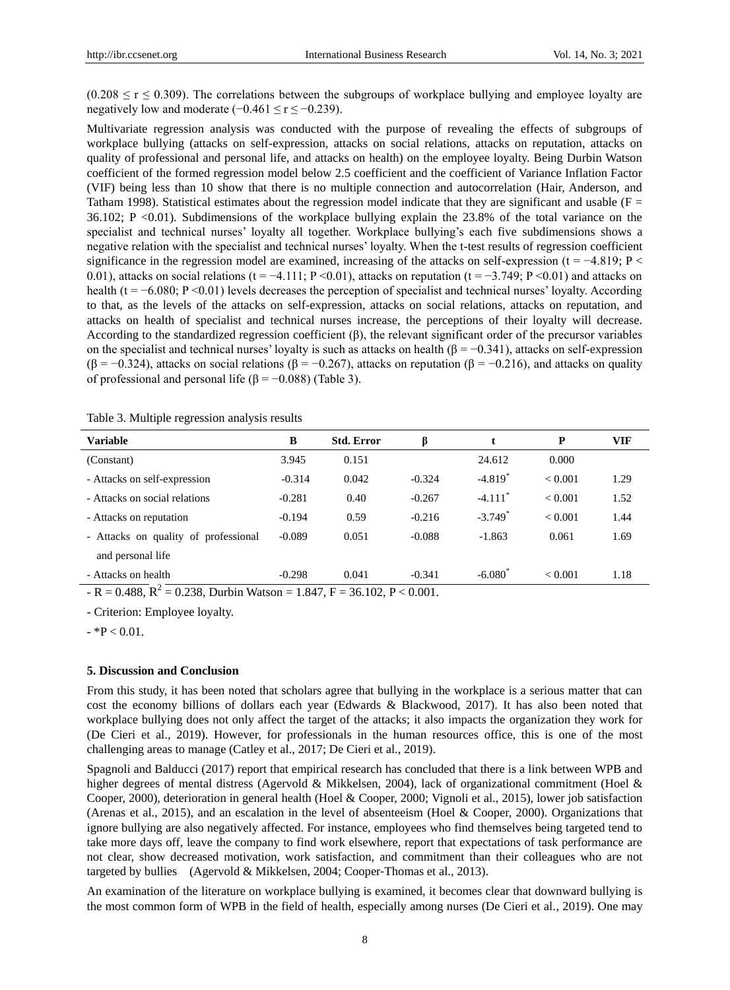$(0.208 \le r \le 0.309)$ . The correlations between the subgroups of workplace bullying and employee loyalty are negatively low and moderate  $(-0.461 \le r \le -0.239)$ .

Multivariate regression analysis was conducted with the purpose of revealing the effects of subgroups of workplace bullying (attacks on self-expression, attacks on social relations, attacks on reputation, attacks on quality of professional and personal life, and attacks on health) on the employee loyalty. Being Durbin Watson coefficient of the formed regression model below 2.5 coefficient and the coefficient of Variance Inflation Factor (VIF) being less than 10 show that there is no multiple connection and autocorrelation (Hair, Anderson, and Tatham 1998). Statistical estimates about the regression model indicate that they are significant and usable ( $F =$ 36.102; P <0.01). Subdimensions of the workplace bullying explain the 23.8% of the total variance on the specialist and technical nurses' loyalty all together. Workplace bullying's each five subdimensions shows a negative relation with the specialist and technical nurses' loyalty. When the t-test results of regression coefficient significance in the regression model are examined, increasing of the attacks on self-expression (t =  $-4.819$ ; P < 0.01), attacks on social relations (t = −4.111; P <0.01), attacks on reputation (t = −3.749; P <0.01) and attacks on health ( $t = -6.080$ ; P <0.01) levels decreases the perception of specialist and technical nurses' loyalty. According to that, as the levels of the attacks on self-expression, attacks on social relations, attacks on reputation, and attacks on health of specialist and technical nurses increase, the perceptions of their loyalty will decrease. According to the standardized regression coefficient  $(\beta)$ , the relevant significant order of the precursor variables on the specialist and technical nurses' loyalty is such as attacks on health ( $\beta = -0.341$ ), attacks on self-expression ( $\beta$  = −0.324), attacks on social relations ( $\beta$  = −0.267), attacks on reputation ( $\beta$  = −0.216), and attacks on quality of professional and personal life ( $\beta = -0.088$ ) (Table 3).

| <b>Variable</b>                                                               | B        | <b>Std. Error</b> | ß        |                       | P       | <b>VIF</b> |
|-------------------------------------------------------------------------------|----------|-------------------|----------|-----------------------|---------|------------|
| (Constant)                                                                    | 3.945    | 0.151             |          | 24.612                | 0.000   |            |
| - Attacks on self-expression                                                  | $-0.314$ | 0.042             | $-0.324$ | $-4.819$ <sup>*</sup> | < 0.001 | 1.29       |
| - Attacks on social relations                                                 | $-0.281$ | 0.40              | $-0.267$ | $-4.111$ <sup>*</sup> | < 0.001 | 1.52       |
| - Attacks on reputation                                                       | $-0.194$ | 0.59              | $-0.216$ | $-3.749$ <sup>*</sup> | < 0.001 | 1.44       |
| - Attacks on quality of professional                                          | $-0.089$ | 0.051             | $-0.088$ | $-1.863$              | 0.061   | 1.69       |
| and personal life                                                             |          |                   |          |                       |         |            |
| - Attacks on health                                                           | $-0.298$ | 0.041             | $-0.341$ | $-6.080^*$            | < 0.001 | 1.18       |
| $- R = 0.488$ , $R^2 = 0.238$ , Durbin Watson = 1.847, F = 36.102, P < 0.001. |          |                   |          |                       |         |            |

Table 3. Multiple regression analysis results

- Criterion: Employee loyalty.

 $-$  \*P  $< 0.01$ .

## **5. Discussion and Conclusion**

From this study, it has been noted that scholars agree that bullying in the workplace is a serious matter that can cost the economy billions of dollars each year (Edwards & Blackwood, 2017). It has also been noted that workplace bullying does not only affect the target of the attacks; it also impacts the organization they work for (De Cieri et al., 2019). However, for professionals in the human resources office, this is one of the most challenging areas to manage (Catley et al., 2017; De Cieri et al., 2019).

Spagnoli and Balducci (2017) report that empirical research has concluded that there is a link between WPB and higher degrees of mental distress (Agervold & Mikkelsen, 2004), lack of organizational commitment (Hoel & Cooper, 2000), deterioration in general health (Hoel & Cooper, 2000; Vignoli et al., 2015), lower job satisfaction (Arenas et al., 2015), and an escalation in the level of absenteeism (Hoel & Cooper, 2000). Organizations that ignore bullying are also negatively affected. For instance, employees who find themselves being targeted tend to take more days off, leave the company to find work elsewhere, report that expectations of task performance are not clear, show decreased motivation, work satisfaction, and commitment than their colleagues who are not targeted by bullies (Agervold & Mikkelsen, 2004; Cooper-Thomas et al., 2013).

An examination of the literature on workplace bullying is examined, it becomes clear that downward bullying is the most common form of WPB in the field of health, especially among nurses (De Cieri et al., 2019). One may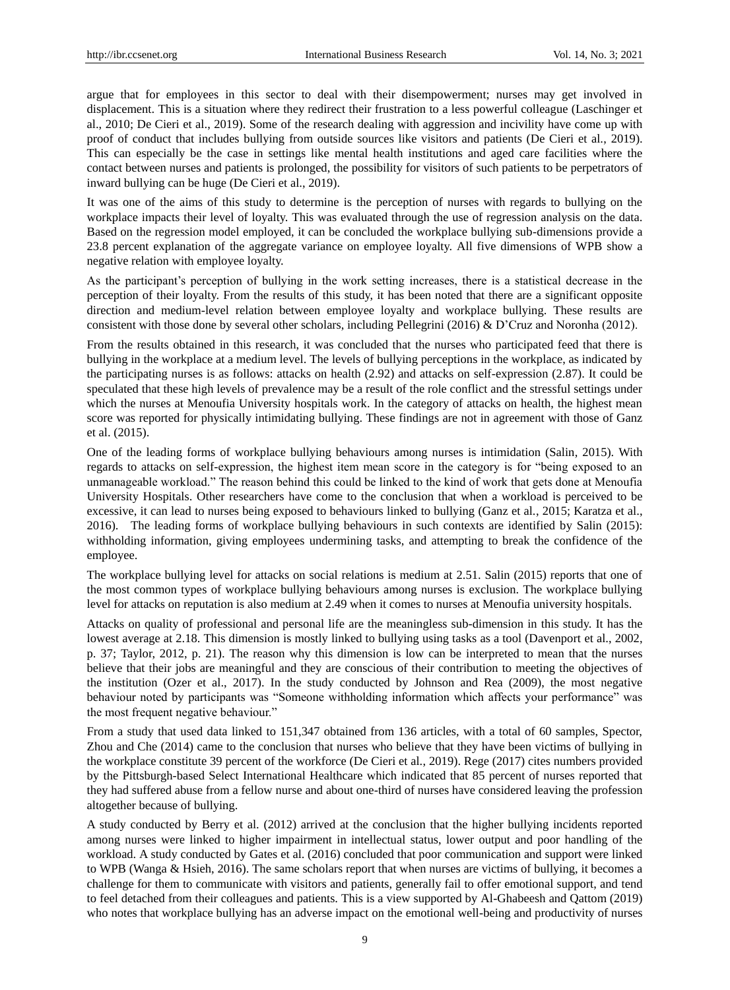argue that for employees in this sector to deal with their disempowerment; nurses may get involved in displacement. This is a situation where they redirect their frustration to a less powerful colleague (Laschinger et al., 2010; De Cieri et al., 2019). Some of the research dealing with aggression and incivility have come up with proof of conduct that includes bullying from outside sources like visitors and patients (De Cieri et al., 2019). This can especially be the case in settings like mental health institutions and aged care facilities where the contact between nurses and patients is prolonged, the possibility for visitors of such patients to be perpetrators of inward bullying can be huge (De Cieri et al., 2019).

It was one of the aims of this study to determine is the perception of nurses with regards to bullying on the workplace impacts their level of loyalty. This was evaluated through the use of regression analysis on the data. Based on the regression model employed, it can be concluded the workplace bullying sub-dimensions provide a 23.8 percent explanation of the aggregate variance on employee loyalty. All five dimensions of WPB show a negative relation with employee loyalty.

As the participant's perception of bullying in the work setting increases, there is a statistical decrease in the perception of their loyalty. From the results of this study, it has been noted that there are a significant opposite direction and medium-level relation between employee loyalty and workplace bullying. These results are consistent with those done by several other scholars, including Pellegrini (2016) & D'Cruz and Noronha (2012).

From the results obtained in this research, it was concluded that the nurses who participated feed that there is bullying in the workplace at a medium level. The levels of bullying perceptions in the workplace, as indicated by the participating nurses is as follows: attacks on health (2.92) and attacks on self-expression (2.87). It could be speculated that these high levels of prevalence may be a result of the role conflict and the stressful settings under which the nurses at Menoufia University hospitals work. In the category of attacks on health, the highest mean score was reported for physically intimidating bullying. These findings are not in agreement with those of Ganz et al. (2015).

One of the leading forms of workplace bullying behaviours among nurses is intimidation (Salin, 2015). With regards to attacks on self-expression, the highest item mean score in the category is for "being exposed to an unmanageable workload." The reason behind this could be linked to the kind of work that gets done at Menoufia University Hospitals. Other researchers have come to the conclusion that when a workload is perceived to be excessive, it can lead to nurses being exposed to behaviours linked to bullying (Ganz et al., 2015; Karatza et al., 2016). The leading forms of workplace bullying behaviours in such contexts are identified by Salin (2015): withholding information, giving employees undermining tasks, and attempting to break the confidence of the employee.

The workplace bullying level for attacks on social relations is medium at 2.51. Salin (2015) reports that one of the most common types of workplace bullying behaviours among nurses is exclusion. The workplace bullying level for attacks on reputation is also medium at 2.49 when it comes to nurses at Menoufia university hospitals.

Attacks on quality of professional and personal life are the meaningless sub-dimension in this study. It has the lowest average at 2.18. This dimension is mostly linked to bullying using tasks as a tool (Davenport et al., 2002, p. 37; Taylor, 2012, p. 21). The reason why this dimension is low can be interpreted to mean that the nurses believe that their jobs are meaningful and they are conscious of their contribution to meeting the objectives of the institution (Ozer et al., 2017). In the study conducted by Johnson and Rea (2009), the most negative behaviour noted by participants was "Someone withholding information which affects your performance" was the most frequent negative behaviour."

From a study that used data linked to 151,347 obtained from 136 articles, with a total of 60 samples, Spector, Zhou and Che (2014) came to the conclusion that nurses who believe that they have been victims of bullying in the workplace constitute 39 percent of the workforce (De Cieri et al., 2019). Rege (2017) cites numbers provided by the Pittsburgh-based Select International Healthcare which indicated that 85 percent of nurses reported that they had suffered abuse from a fellow nurse and about one-third of nurses have considered leaving the profession altogether because of bullying.

A study conducted by Berry et al. (2012) arrived at the conclusion that the higher bullying incidents reported among nurses were linked to higher impairment in intellectual status, lower output and poor handling of the workload. A study conducted by Gates et al. (2016) concluded that poor communication and support were linked to WPB (Wanga & Hsieh, 2016). The same scholars report that when nurses are victims of bullying, it becomes a challenge for them to communicate with visitors and patients, generally fail to offer emotional support, and tend to feel detached from their colleagues and patients. This is a view supported by Al-Ghabeesh and Qattom (2019) who notes that workplace bullying has an adverse impact on the emotional well-being and productivity of nurses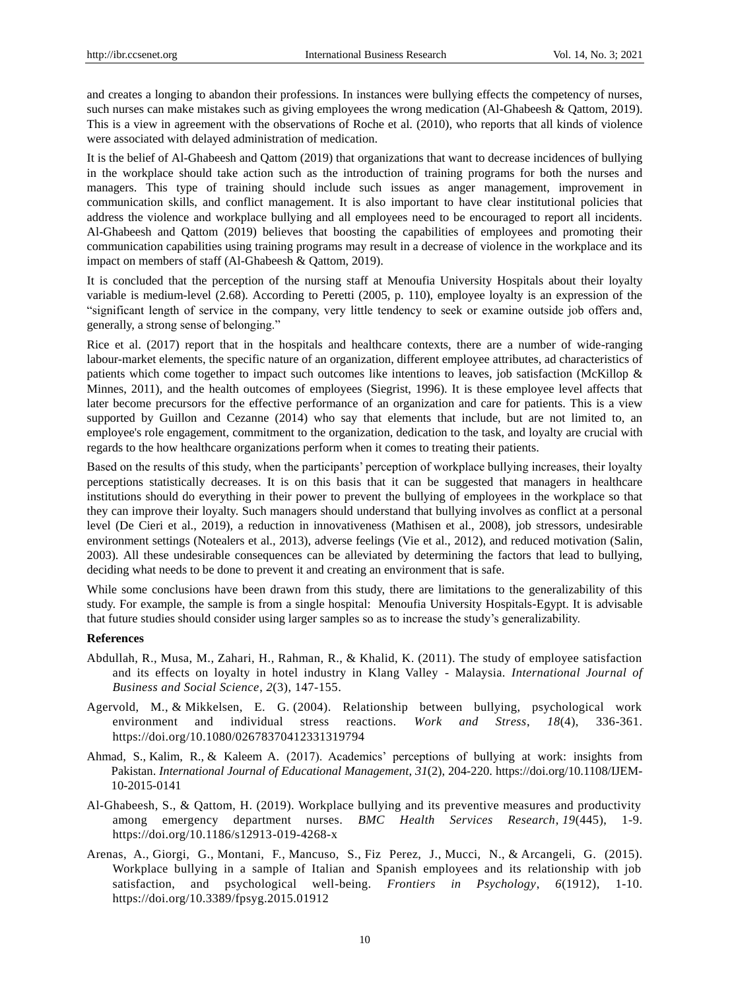and creates a longing to abandon their professions. In instances were bullying effects the competency of nurses, such nurses can make mistakes such as giving employees the wrong medication (Al-Ghabeesh & Qattom, 2019). This is a view in agreement with the observations of Roche et al. (2010), who reports that all kinds of violence were associated with delayed administration of medication.

It is the belief of Al-Ghabeesh and Qattom (2019) that organizations that want to decrease incidences of bullying in the workplace should take action such as the introduction of training programs for both the nurses and managers. This type of training should include such issues as anger management, improvement in communication skills, and conflict management. It is also important to have clear institutional policies that address the violence and workplace bullying and all employees need to be encouraged to report all incidents. Al-Ghabeesh and Qattom (2019) believes that boosting the capabilities of employees and promoting their communication capabilities using training programs may result in a decrease of violence in the workplace and its impact on members of staff (Al-Ghabeesh & Qattom, 2019).

It is concluded that the perception of the nursing staff at Menoufia University Hospitals about their loyalty variable is medium-level (2.68). According to Peretti (2005, p. 110), employee loyalty is an expression of the "significant length of service in the company, very little tendency to seek or examine outside job offers and, generally, a strong sense of belonging."

Rice et al. (2017) report that in the hospitals and healthcare contexts, there are a number of wide-ranging labour-market elements, the specific nature of an organization, different employee attributes, ad characteristics of patients which come together to impact such outcomes like intentions to leaves, job satisfaction (McKillop & Minnes, 2011), and the health outcomes of employees (Siegrist, 1996). It is these employee level affects that later become precursors for the effective performance of an organization and care for patients. This is a view supported by Guillon and Cezanne (2014) who say that elements that include, but are not limited to, an employee's role engagement, commitment to the organization, dedication to the task, and loyalty are crucial with regards to the how healthcare organizations perform when it comes to treating their patients.

Based on the results of this study, when the participants' perception of workplace bullying increases, their loyalty perceptions statistically decreases. It is on this basis that it can be suggested that managers in healthcare institutions should do everything in their power to prevent the bullying of employees in the workplace so that they can improve their loyalty. Such managers should understand that bullying involves as conflict at a personal level (De Cieri et al., 2019), a reduction in innovativeness (Mathisen et al., 2008), job stressors, undesirable environment settings (Notealers et al., 2013), adverse feelings (Vie et al., 2012), and reduced motivation (Salin, 2003). All these undesirable consequences can be alleviated by determining the factors that lead to bullying, deciding what needs to be done to prevent it and creating an environment that is safe.

While some conclusions have been drawn from this study, there are limitations to the generalizability of this study. For example, the sample is from a single hospital: Menoufia University Hospitals-Egypt. It is advisable that future studies should consider using larger samples so as to increase the study's generalizability.

#### **References**

- Abdullah, R., Musa, M., Zahari, H., Rahman, R., & Khalid, K. (2011). The study of employee satisfaction and its effects on loyalty in hotel industry in Klang Valley - Malaysia. *International Journal of Business and Social Science*, *2*(3), 147-155.
- Agervold, M., & Mikkelsen, E. G. (2004). Relationship between bullying, psychological work environment and individual stress reactions. *Work and Stress*, *18*(4), 336-361. https://doi.org/10.1080/02678370412331319794
- Ahmad, [S.,](https://www-emeraldinsight-com.adu-lib-database.idm.oclc.org/author/Ahmad%2C+Saima) Kalim, [R.,](https://www-emeraldinsight-com.adu-lib-database.idm.oclc.org/author/Kalim%2C+Rukhsana) & Kaleem [A.](https://www-emeraldinsight-com.adu-lib-database.idm.oclc.org/author/Kaleem%2C+Ahmad) (2017). Academics' perceptions of bullying at work: insights from Pakistan. *International Journal of Educational Management*, *31*(2), 204-220. https://doi.org/10.1108/IJEM-10-2015-0141
- Al-Ghabeesh, S., & Qattom, H. (2019). Workplace bullying and its preventive measures and productivity among emergency department nurses. *[BMC Health Services Research](https://bmchealthservres.biomedcentral.com/)*, *19*(445), 1-9. https://doi.org/10.1186/s12913-019-4268-x
- Arenas, A., Giorgi, G., Montani, F., Mancuso, S., Fiz Perez, J., Mucci, N., & Arcangeli, G. (2015). Workplace bullying in a sample of Italian and Spanish employees and its relationship with job satisfaction, and psychological well-being. *Frontiers in Psychology*, *6*(1912), 1-10. https://doi.org/10.3389/fpsyg.2015.01912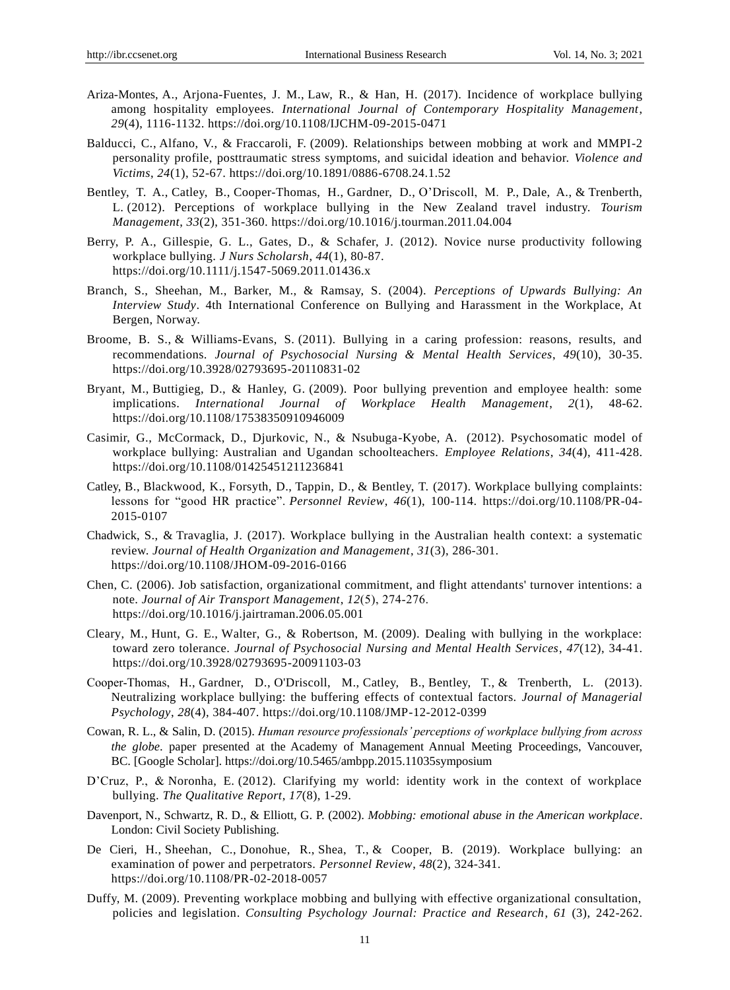- Ariza-Montes, [A.,](https://www-emeraldinsight-com.adu-lib-database.idm.oclc.org/author/Ariza-Montes%2C+Antonio) Arjona-Fuentes, J. [M.,](https://www-emeraldinsight-com.adu-lib-database.idm.oclc.org/author/Arjona-Fuentes%2C+Juan+M) Law, [R.,](https://www-emeraldinsight-com.adu-lib-database.idm.oclc.org/author/Law%2C+Rob) & Han, [H.](https://www-emeraldinsight-com.adu-lib-database.idm.oclc.org/author/Han%2C+Heesup) (2017). Incidence of workplace bullying among hospitality employees. *International Journal of Contemporary Hospitality Management*, *29*(4), 1116-1132. https://doi.org/10.1108/IJCHM-09-2015-0471
- Balducci, C., Alfano, V., & Fraccaroli, F. (2009). Relationships between mobbing at work and MMPI-2 personality profile, posttraumatic stress symptoms, and suicidal ideation and behavior. *Violence and Victims*, *24*(1), 52-67. https://doi.org/10.1891/0886-6708.24.1.52
- Bentley, T. A., Catley, B., Cooper-Thomas, H., Gardner, D., O'Driscoll, M. P., Dale, A., & Trenberth, L. (2012). Perceptions of workplace bullying in the New Zealand travel industry. *Tourism Management*, *33*(2), 351-360. https://doi.org/10.1016/j.tourman.2011.04.004
- Berry, P. A., Gillespie, G. L., Gates, D., & Schafer, J. (2012). Novice nurse productivity following workplace bullying. *J Nurs Scholarsh*, *44*(1), 80-87. https://doi.org/10.1111/j.1547-5069.2011.01436.x
- Branch, S., Sheehan, M., Barker, M., & Ramsay, S. (2004). *Perceptions of Upwards Bullying: An Interview Study*. 4th International Conference on Bullying and Harassment in the Workplace, At Bergen, Norway.
- Broome, B. S., & Williams-Evans, S. (2011). Bullying in a caring profession: reasons, results, and recommendations. *Journal of Psychosocial Nursing & Mental Health Services*, *49*(10), 30-35. https://doi.org/10.3928/02793695-20110831-02
- Bryant, M., Buttigieg, D., & Hanley, G. (2009). Poor bullying prevention and employee health: some implications. *International Journal of Workplace Health Management*, *2*(1), 48-62. https://doi.org/10.1108/17538350910946009
- Casimir, G., McCormack, D., Djurkovic, N., & Nsubuga-Kyobe, A. (2012). Psychosomatic model of workplace bullying: Australian and Ugandan schoolteachers. *Employee Relations*, *34*(4), 411-428. https://doi.org/10.1108/01425451211236841
- Catley, [B.,](https://www-emeraldinsight-com.adu-lib-database.idm.oclc.org/author/Catley%2C+Bevan) Blackwood, [K.,](https://www-emeraldinsight-com.adu-lib-database.idm.oclc.org/author/Blackwood%2C+Kate) Forsyth, [D.,](https://www-emeraldinsight-com.adu-lib-database.idm.oclc.org/author/Forsyth%2C+Darryl) Tappin, [D.,](https://www-emeraldinsight-com.adu-lib-database.idm.oclc.org/author/Tappin%2C+David) & Bentley, [T. \(](https://www-emeraldinsight-com.adu-lib-database.idm.oclc.org/author/Bentley%2C+Tim)2017). Workplace bullying complaints: lessons for "good HR practice". *Personnel Review*, *46*(1), 100-114. https://doi.org/10.1108/PR-04- 2015-0107
- Chadwick, [S.,](https://www-emeraldinsight-com.adu-lib-database.idm.oclc.org/author/Chadwick%2C+Sharlene) & Travaglia, [J.](https://www-emeraldinsight-com.adu-lib-database.idm.oclc.org/author/Travaglia%2C+Joanne) (2017). Workplace bullying in the Australian health context: a systematic review. *Journal of Health Organization and Management*, *31*(3), 286-301. https://doi.org/10.1108/JHOM-09-2016-0166
- Chen, C. (2006). Job satisfaction, organizational commitment, and flight attendants' turnover intentions: a note. *Journal of Air Transport Management*, *12*(5), 274‐276. https://doi.org/10.1016/j.jairtraman.2006.05.001
- Cleary, M., Hunt, G. E., Walter, G., & Robertson, M. (2009). Dealing with bullying in the workplace: toward zero tolerance. *Journal of Psychosocial Nursing and Mental Health Services*, *47*(12), 34-41. https://doi.org/10.3928/02793695-20091103-03
- Cooper‐Thomas, [H.,](https://www-emeraldinsight-com.adu-lib-database.idm.oclc.org/author/Cooper-Thomas%2C+Helena) Gardner, [D.,](https://www-emeraldinsight-com.adu-lib-database.idm.oclc.org/author/Gardner%2C+Dianne) O'Driscoll, [M.,](https://www-emeraldinsight-com.adu-lib-database.idm.oclc.org/author/O%27Driscoll%2C+Michael) Catley, [B.,](https://www-emeraldinsight-com.adu-lib-database.idm.oclc.org/author/Catley%2C+Bevan) Bentley, [T.,](https://www-emeraldinsight-com.adu-lib-database.idm.oclc.org/author/Bentley%2C+Tim) & Trenberth, [L.](https://www-emeraldinsight-com.adu-lib-database.idm.oclc.org/author/Trenberth%2C+Linda) (2013). Neutralizing workplace bullying: the buffering effects of contextual factors. *Journal of Managerial Psychology*, *28*(4), 384-407. https://doi.org/10.1108/JMP-12-2012-0399
- Cowan, R. L., & Salin, D. (2015). *Human resource professionals' perceptions of workplace bullying from across the globe*. paper presented at the Academy of Management Annual Meeting Proceedings, Vancouver, BC. [\[Google Scholar\].](http://scholar.google.com/scholar?hl=en&q=Cowan%2C+R.L.+and+Salin%2C+D.+%282015%29%2C+%E2%80%9C+Human+resource+professionals%E2%80%99+perceptions+of+workplace+bullying+from+across+the+globe%E2%80%9D%2C+paper+presented+at+the+Academy+of+Management+Annual+Meeting+Proceedings%2C+Vancouver%2C+BC.) https://doi.org/10.5465/ambpp.2015.11035symposium
- D'Cruz, P., & Noronha, E. (2012). Clarifying my world: identity work in the context of workplace bullying. *The Qualitative Report*, *17*(8), 1-29.
- Davenport, N., Schwartz, R. D., & Elliott, G. P. (2002). *Mobbing: emotional abuse in the American workplace*. London: Civil Society Publishing.
- De Cieri, [H.,](https://www-emeraldinsight-com.adu-lib-database.idm.oclc.org/author/de+Cieri%2C+Helen) Sheehan, [C.,](https://www-emeraldinsight-com.adu-lib-database.idm.oclc.org/author/Sheehan%2C+Cathy) Donohue, [R.,](https://www-emeraldinsight-com.adu-lib-database.idm.oclc.org/author/Donohue%2C+Ross) Shea, [T.,](https://www-emeraldinsight-com.adu-lib-database.idm.oclc.org/author/Shea%2C+Tracey) & Cooper, [B.](https://www-emeraldinsight-com.adu-lib-database.idm.oclc.org/author/Cooper%2C+Brian) (2019). Workplace bullying: an examination of power and perpetrators. *Personnel Review*, *48*(2), 324-341. https://doi.org/10.1108/PR-02-2018-0057
- Duffy, M. (2009). Preventing workplace mobbing and bullying with effective organizational consultation, policies and legislation. *Consulting Psychology Journal: Practice and Research*, *61* (3), 242-262.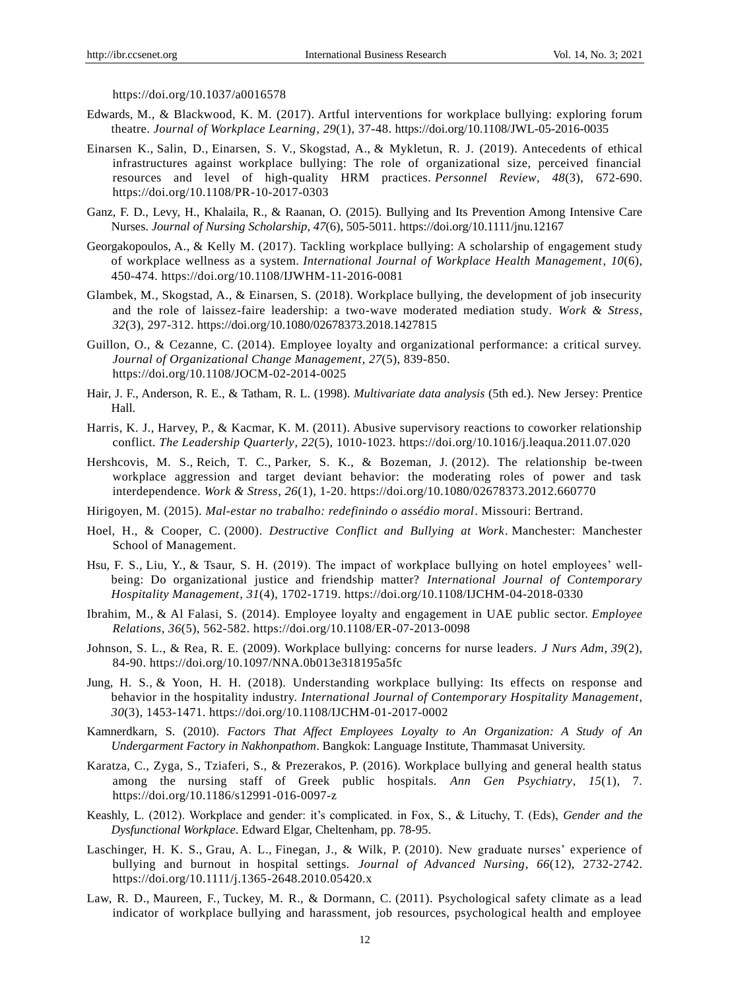https://doi.org/10.1037/a0016578

- Edwards, [M.,](https://www-emeraldinsight-com.adu-lib-database.idm.oclc.org/author/Edwards%2C+Margot) & Blackwood, [K.](https://www-emeraldinsight-com.adu-lib-database.idm.oclc.org/author/Blackwood%2C+Kate+Marie) M. (2017). Artful interventions for workplace bullying: exploring forum theatre. *Journal of Workplace Learning*, *29*(1), 37-48. https://doi.org/10.1108/JWL-05-2016-0035
- Einarsen [K.,](https://www-emeraldinsight-com.adu-lib-database.idm.oclc.org/author/Einarsen%2C+Kari) Salin, [D.,](https://www-emeraldinsight-com.adu-lib-database.idm.oclc.org/author/Salin%2C+Denise) Einarsen, S. [V.,](https://www-emeraldinsight-com.adu-lib-database.idm.oclc.org/author/Einarsen%2C+St%C3%A5le+Valvatne) Skogstad, [A.,](https://www-emeraldinsight-com.adu-lib-database.idm.oclc.org/author/Skogstad%2C+Anders) & Mykletun, [R.](https://www-emeraldinsight-com.adu-lib-database.idm.oclc.org/author/Mykletun%2C+Reidar+Johan) J. (2019). Antecedents of ethical infrastructures against workplace bullying: The role of organizational size, perceived financial resources and level of high-quality HRM practices. *Personnel Review*, *48*(3), 672-690. https://doi.org/10.1108/PR-10-2017-0303
- Ganz, F. D., Levy, H., Khalaila, R., & Raanan, O. (2015). Bullying and Its Prevention Among Intensive Care Nurses. *Journal of Nursing Scholarship*, *47*(6), 505-5011. https://doi.org/10.1111/jnu.12167
- Georgakopoulos[, A.,](https://www-emeraldinsight-com.adu-lib-database.idm.oclc.org/author/Georgakopoulos%2C+Alexia) & Kelly [M.](https://www-emeraldinsight-com.adu-lib-database.idm.oclc.org/author/Kelly%2C+Michael+P) (2017). Tackling workplace bullying: A scholarship of engagement study of workplace wellness as a system. *International Journal of Workplace Health Management*, *10*(6), 450-474. https://doi.org/10.1108/IJWHM-11-2016-0081
- Glambek, M., Skogstad, A., & Einarsen, S. (2018). Workplace bullying, the development of job insecurity and the role of laissez-faire leadership: a two-wave moderated mediation study. *Work & Stress*, *32*(3), 297-312. https://doi.org/10.1080/02678373.2018.1427815
- Guillon, O., & Cezanne, C. (2014). Employee loyalty and organizational performance: a critical survey. *Journal of Organizational Change Management*, *27*(5), 839-850. https://doi.org/10.1108/JOCM-02-2014-0025
- Hair, J. F., Anderson, R. E., & Tatham, R. L. (1998). *Multivariate data analysis* (5th ed.). New Jersey: Prentice Hall.
- Harris, K. J., Harvey, P., & Kacmar, K. M. (2011). Abusive supervisory reactions to coworker relationship conflict. *The Leadership Quarterly*, *22*(5), 1010-1023. https://doi.org/10.1016/j.leaqua.2011.07.020
- Hershcovis, M. S., Reich, T. C., Parker, S. K., & Bozeman, J. (2012). The relationship be-tween workplace aggression and target deviant behavior: the moderating roles of power and task interdependence. *Work & Stress*, *26*(1), 1-20. https://doi.org/10.1080/02678373.2012.660770
- Hirigoyen, M. (2015). *Mal-estar no trabalho: redefinindo o assédio moral*. Missouri: Bertrand.
- Hoel, H., & Cooper, C. (2000). *Destructive Conflict and Bullying at Work*. Manchester: Manchester School of Management.
- Hsu, F. [S.,](https://www-emeraldinsight-com.adu-lib-database.idm.oclc.org/author/Hsu%2C+Fu-Sung) Liu, [Y.,](https://www-emeraldinsight-com.adu-lib-database.idm.oclc.org/author/Liu%2C+Yuan-an) & Tsaur, [S.](https://www-emeraldinsight-com.adu-lib-database.idm.oclc.org/author/Tsaur%2C+Sheng-Hshiung) H. (2019). The impact of workplace bullying on hotel employees' wellbeing: Do organizational justice and friendship matter? *International Journal of Contemporary Hospitality Management*, *31*(4), 1702-1719. https://doi.org/10.1108/IJCHM-04-2018-0330
- Ibrahim, [M.,](https://www-emeraldinsight-com.adu-lib-database.idm.oclc.org/author/Ibrahim%2C+Maha) & Al Falasi, [S.](https://www-emeraldinsight-com.adu-lib-database.idm.oclc.org/author/al+Falasi%2C+Saoud) (2014). Employee loyalty and engagement in UAE public sector. *Employee Relations*, *36*(5), 562-582. https://doi.org/10.1108/ER-07-2013-0098
- Johnson, S. L., & Rea, R. E. (2009). Workplace bullying: concerns for nurse leaders. *J Nurs Adm*, *39*(2), 84-90. https://doi.org/10.1097/NNA.0b013e318195a5fc
- Jung, [H.](https://www-emeraldinsight-com.adu-lib-database.idm.oclc.org/author/Jung%2C+Hyo+Sun) S., & Yoon, [H.](https://www-emeraldinsight-com.adu-lib-database.idm.oclc.org/author/Yoon%2C+Hye+Hyun) H. (2018). Understanding workplace bullying: Its effects on response and behavior in the hospitality industry. *International Journal of Contemporary Hospitality Management*, *30*(3), 1453-1471. https://doi.org/10.1108/IJCHM-01-2017-0002
- Kamnerdkarn, S. (2010). *Factors That Affect Employees Loyalty to An Organization: A Study of An Undergarment Factory in Nakhonpathom*. Bangkok: Language Institute, Thammasat University.
- Karatza, C., Zyga, S., Tziaferi, S., & Prezerakos, P. (2016). Workplace bullying and general health status among the nursing staff of Greek public hospitals. *Ann Gen Psychiatry*, *15*(1), 7. https://doi.org/10.1186/s12991-016-0097-z
- Keashly, L. (2012). Workplace and gender: it's complicated. in Fox, S., & Lituchy, T. (Eds), *Gender and the Dysfunctional Workplace*. Edward Elgar, Cheltenham, pp. 78-95.
- Laschinger, H. K. S., Grau, A. L., Finegan, J., & Wilk, P. (2010). New graduate nurses' experience of bullying and burnout in hospital settings. *Journal of Advanced Nursing*, *66*(12), 2732-2742. https://doi.org/10.1111/j.1365-2648.2010.05420.x
- Law, R. D., Maureen, F., Tuckey, M. R., & Dormann, C. (2011). Psychological safety climate as a lead indicator of workplace bullying and harassment, job resources, psychological health and employee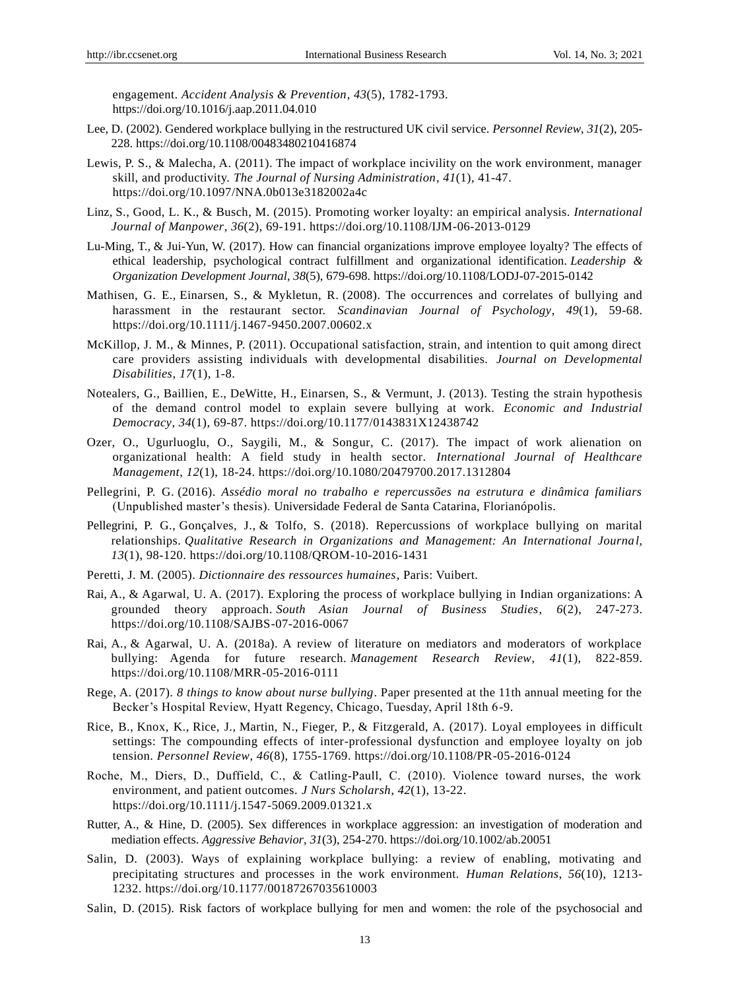engagement. *Accident Analysis & Prevention*, *43*(5), 1782-1793. https://doi.org/10.1016/j.aap.2011.04.010

- Lee, D. (2002). Gendered workplace bullying in the restructured UK civil service. *Personnel Review*, *31*(2), 205- 228. https://doi.org/10.1108/00483480210416874
- Lewis, P. S., & Malecha, A. (2011). The impact of workplace incivility on the work environment, manager skill, and productivity. *The Journal of Nursing Administration*, *41*(1), 41-47. https://doi.org/10.1097/NNA.0b013e3182002a4c
- Linz, [S.,](https://www-emeraldinsight-com.adu-lib-database.idm.oclc.org/author/Linz%2C+Susan) Good, L. [K.,](https://www-emeraldinsight-com.adu-lib-database.idm.oclc.org/author/Good%2C+Linda+K) & Busch, [M.](https://www-emeraldinsight-com.adu-lib-database.idm.oclc.org/author/Busch%2C+Michael) (2015). Promoting worker loyalty: an empirical analysis. *International Journal of Manpower*, *36*(2), 69-191. https://doi.org/10.1108/IJM-06-2013-0129
- [Lu-Ming, T.,](https://www-emeraldinsight-com.adu-lib-database.idm.oclc.org/author/Tseng%2C+Lu-Ming) & [Jui-Yun, W.](https://www-emeraldinsight-com.adu-lib-database.idm.oclc.org/author/Wu%2C+Jui-Yun) (2017). How can financial organizations improve employee loyalty? The effects of ethical leadership, psychological contract fulfillment and organizational identification. *Leadership & Organization Development Journal*, *38*(5), 679-698. https://doi.org/10.1108/LODJ-07-2015-0142
- Mathisen, G. E., Einarsen, S., & Mykletun, R. (2008). The occurrences and correlates of bullying and harassment in the restaurant sector. *Scandinavian Journal of Psychology*, *49*(1), 59-68. https://doi.org/10.1111/j.1467-9450.2007.00602.x
- McKillop, J. M., & Minnes, P. (2011). Occupational satisfaction, strain, and intention to quit among direct care providers assisting individuals with developmental disabilities. *Journal on Developmental Disabilities*, *17*(1), 1-8.
- Notealers, G., Baillien, E., DeWitte, H., Einarsen, S., & Vermunt, J. (2013). Testing the strain hypothesis of the demand control model to explain severe bullying at work. *Economic and Industrial Democracy*, *34*(1), 69-87. https://doi.org/10.1177/0143831X12438742
- Ozer, O., Ugurluoglu, O., Saygili, M., & Songur, C. (2017). The impact of work alienation on organizational health: A field study in health sector. *International Journal of Healthcare Management*, *12*(1), 18-24. https://doi.org/10.1080/20479700.2017.1312804
- Pellegrini, P. G. (2016). *Assédio moral no trabalho e repercussões na estrutura e dinâmica familiars* (Unpublished master's thesis). Universidade Federal de Santa Catarina, Florianópolis.
- Pellegrini, P. [G.,](https://www-emeraldinsight-com.adu-lib-database.idm.oclc.org/author/Pellegrini%2C+Priscila+Gasperin) Gonçalves, [J.,](https://www-emeraldinsight-com.adu-lib-database.idm.oclc.org/author/Gon%C3%A7alves%2C+J%C3%BAlia) & Tolfo, [S.](https://www-emeraldinsight-com.adu-lib-database.idm.oclc.org/author/Tolfo%2C+Suzana+da+Rosa) (2018). Repercussions of workplace bullying on marital relationships. *Qualitative Research in Organizations and Management: An International Journal*, *13*(1), 98-120. https://doi.org/10.1108/QROM-10-2016-1431
- Peretti, J. M. (2005). *Dictionnaire des ressources humaines*, Paris: Vuibert.
- Rai[, A.,](https://www-emeraldinsight-com.adu-lib-database.idm.oclc.org/author/Rai%2C+Arpana) & Agarwal, U. [A. \(](https://www-emeraldinsight-com.adu-lib-database.idm.oclc.org/author/Agarwal%2C+Upasna+A)2017). Exploring the process of workplace bullying in Indian organizations: A grounded theory approach. *South Asian Journal of Business Studies*, *6*(2), 247-273. https://doi.org/10.1108/SAJBS-07-2016-0067
- Rai, [A.,](https://www-emeraldinsight-com.adu-lib-database.idm.oclc.org/author/Rai%2C+Arpana) & Agarwal, U. [A. \(](https://www-emeraldinsight-com.adu-lib-database.idm.oclc.org/author/Agarwal%2C+Upasna+A)2018a). A review of literature on mediators and moderators of workplace bullying: Agenda for future research. *Management Research Review*, *41*(1), 822-859. https://doi.org/10.1108/MRR-05-2016-0111
- Rege, A. (2017). *8 things to know about nurse bullying*. Paper presented at the 11th annual meeting for the Becker's Hospital Review, Hyatt Regency, Chicago, Tuesday, April 18th 6-9.
- Rice, [B.,](https://www-emeraldinsight-com.adu-lib-database.idm.oclc.org/author/Rice%2C+Bridget) Knox, [K.,](https://www-emeraldinsight-com.adu-lib-database.idm.oclc.org/author/Knox%2C+Kathy) Rice, [J.,](https://www-emeraldinsight-com.adu-lib-database.idm.oclc.org/author/Rice%2C+John) Martin, [N.,](https://www-emeraldinsight-com.adu-lib-database.idm.oclc.org/author/Martin%2C+Nigel) Fieger, [P.,](https://www-emeraldinsight-com.adu-lib-database.idm.oclc.org/author/Fieger%2C+Peter) & Fitzgerald, [A.](https://www-emeraldinsight-com.adu-lib-database.idm.oclc.org/author/Fitzgerald%2C+Anneke) (2017). Loyal employees in difficult settings: The compounding effects of inter-professional dysfunction and employee loyalty on job tension. *Personnel Review*, *46*(8), 1755-1769. https://doi.org/10.1108/PR-05-2016-0124
- Roche, M., Diers, D., Duffield, C., & Catling‐Paull, C. (2010). Violence toward nurses, the work environment, and patient outcomes. *J Nurs Scholarsh*, *42*(1), 13-22. https://doi.org/10.1111/j.1547-5069.2009.01321.x
- Rutter, A., & Hine, D. (2005). Sex differences in workplace aggression: an investigation of moderation and mediation effects. *Aggressive Behavior*, *31*(3), 254-270. https://doi.org/10.1002/ab.20051
- Salin, D. (2003). Ways of explaining workplace bullying: a review of enabling, motivating and precipitating structures and processes in the work environment. *Human Relations*, *56*(10), 1213- 1232. https://doi.org/10.1177/00187267035610003
- Salin, D. (2015). Risk factors of workplace bullying for men and women: the role of the psychosocial and